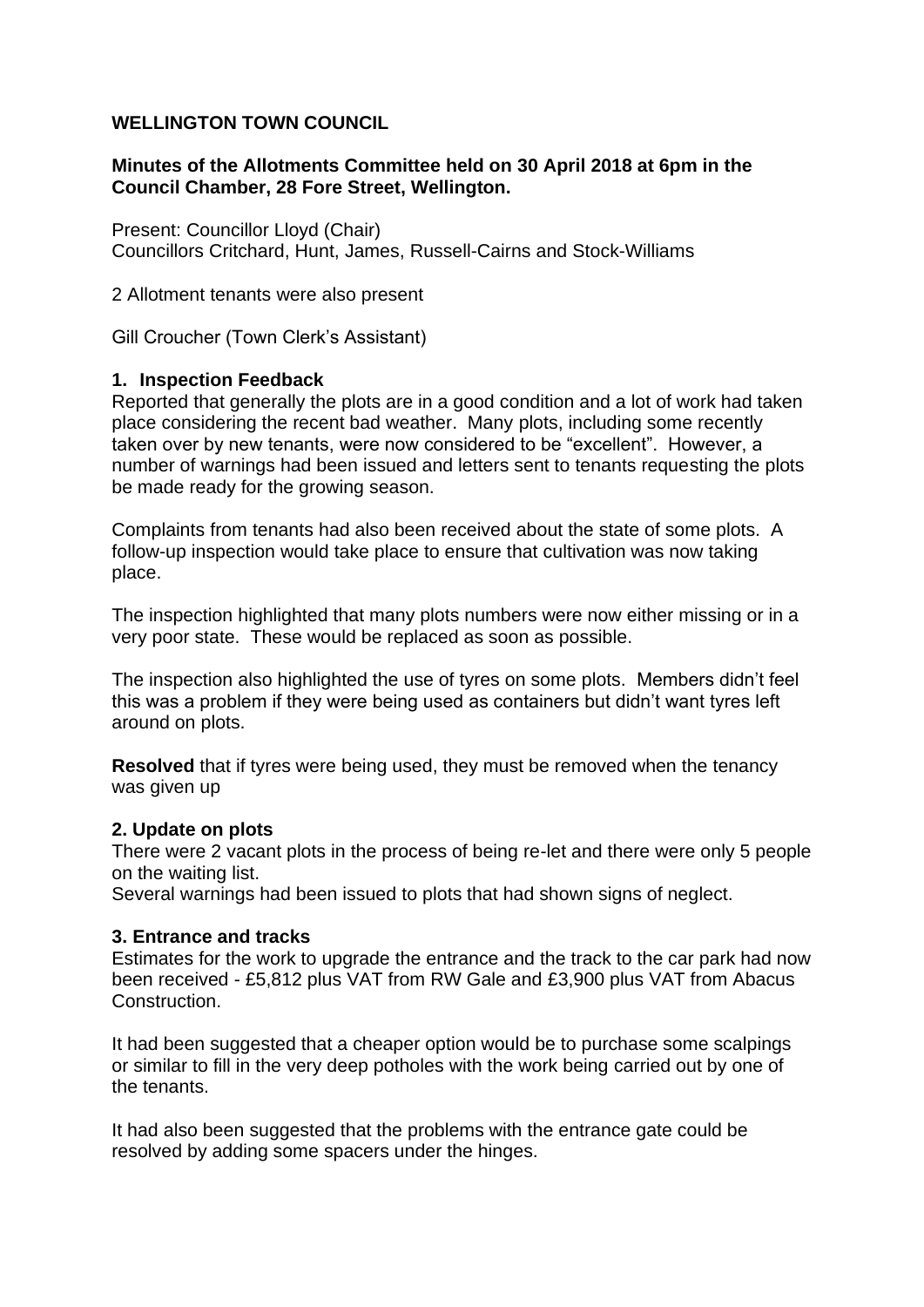# **WELLINGTON TOWN COUNCIL**

## **Minutes of the Allotments Committee held on 30 April 2018 at 6pm in the Council Chamber, 28 Fore Street, Wellington.**

Present: Councillor Lloyd (Chair) Councillors Critchard, Hunt, James, Russell-Cairns and Stock-Williams

2 Allotment tenants were also present

Gill Croucher (Town Clerk's Assistant)

## **1. Inspection Feedback**

Reported that generally the plots are in a good condition and a lot of work had taken place considering the recent bad weather. Many plots, including some recently taken over by new tenants, were now considered to be "excellent". However, a number of warnings had been issued and letters sent to tenants requesting the plots be made ready for the growing season.

Complaints from tenants had also been received about the state of some plots. A follow-up inspection would take place to ensure that cultivation was now taking place.

The inspection highlighted that many plots numbers were now either missing or in a very poor state. These would be replaced as soon as possible.

The inspection also highlighted the use of tyres on some plots. Members didn't feel this was a problem if they were being used as containers but didn't want tyres left around on plots.

**Resolved** that if tyres were being used, they must be removed when the tenancy was given up

#### **2. Update on plots**

There were 2 vacant plots in the process of being re-let and there were only 5 people on the waiting list.

Several warnings had been issued to plots that had shown signs of neglect.

## **3. Entrance and tracks**

Estimates for the work to upgrade the entrance and the track to the car park had now been received - £5,812 plus VAT from RW Gale and £3,900 plus VAT from Abacus Construction.

It had been suggested that a cheaper option would be to purchase some scalpings or similar to fill in the very deep potholes with the work being carried out by one of the tenants.

It had also been suggested that the problems with the entrance gate could be resolved by adding some spacers under the hinges.